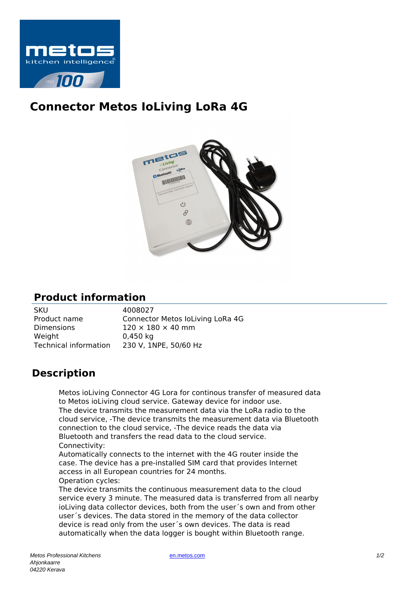

## **Connector Metos IoLiving LoRa 4G**



## **Product information**

| 4008027                          |
|----------------------------------|
| Connector Metos loLiving LoRa 4G |
| $120 \times 180 \times 40$ mm    |
| $0,450$ kg                       |
| 230 V, 1NPE, 50/60 Hz            |
|                                  |

## **Description**

Metos ioLiving Connector 4G Lora for continous transfer of measured data to Metos ioLiving cloud service. Gateway device for indoor use. The device transmits the measurement data via the LoRa radio to the cloud service, -The device transmits the measurement data via Bluetooth connection to the cloud service, -The device reads the data via Bluetooth and transfers the read data to the cloud service. Connectivity:

Automatically connects to the internet with the 4G router inside the case. The device has a pre-installed SIM card that provides Internet access in all European countries for 24 months.

Operation cycles: The device transmits the continuous measurement data to the cloud service every 3 minute. The measured data is transferred from all nearby ioLiving data collector devices, both from the user´s own and from other user´s devices. The data stored in the memory of the data collector device is read only from the user´s own devices. The data is read automatically when the data logger is bought within Bluetooth range.